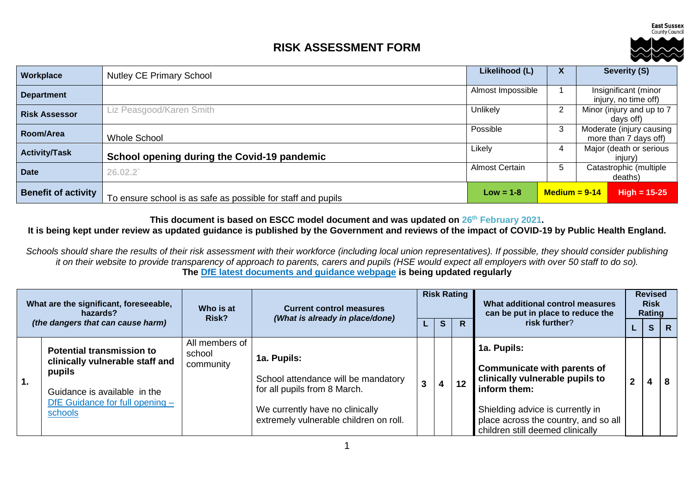**East Sussex** County Council

## **RISK ASSESSMENT FORM**



| Workplace                  | <b>Nutley CE Primary School</b>                              | Likelihood (L)        | $\boldsymbol{\mathsf{A}}$               |                                                   | Severity (S)                                 |
|----------------------------|--------------------------------------------------------------|-----------------------|-----------------------------------------|---------------------------------------------------|----------------------------------------------|
| <b>Department</b>          |                                                              | Almost Impossible     |                                         |                                                   | Insignificant (minor<br>injury, no time off) |
| <b>Risk Assessor</b>       | Liz Peasgood/Karen Smith                                     | Unlikely              | 2                                       |                                                   | Minor (injury and up to 7<br>davs off)       |
| Room/Area                  | <b>Whole School</b>                                          | Possible              | 3                                       | Moderate (injury causing<br>more than 7 days off) |                                              |
| <b>Activity/Task</b>       | School opening during the Covid-19 pandemic                  | Likely                | Major (death or serious<br>4<br>injury) |                                                   |                                              |
| <b>Date</b>                | 26.02.2                                                      | <b>Almost Certain</b> | b                                       | Catastrophic (multiple<br>deaths)                 |                                              |
| <b>Benefit of activity</b> | To ensure school is as safe as possible for staff and pupils | $Low = 1-8$           | $Median = 9-14$                         |                                                   | $High = 15-25$                               |

**This document is based on ESCC model document and was updated on 26th February 2021.**

## **It is being kept under review as updated guidance is published by the Government and reviews of the impact of COVID-19 by Public Health England.**

*Schools should share the results of their risk assessment with their workforce (including local union representatives). If possible, they should consider publishing it on their website to provide transparency of approach to parents, carers and pupils (HSE would expect all employers with over 50 staff to do so).* **The [DfE latest documents and guidance webpage](https://www.gov.uk/government/latest?departments%5B%5D=department-for-education) is being updated regularly**

| What are the significant, foreseeable,<br>hazards?<br>(the dangers that can cause harm) |                                                                                                                                                               | Who is at<br>Risk?                    | <b>Current control measures</b><br>(What is already in place/done)                                                                                              |  |   | <b>Risk Rating</b> | What additional control measures<br>can be put in place to reduce the                                                                                                                                                |   | <b>Revised</b><br><b>Risk</b><br>Rating |   |  |
|-----------------------------------------------------------------------------------------|---------------------------------------------------------------------------------------------------------------------------------------------------------------|---------------------------------------|-----------------------------------------------------------------------------------------------------------------------------------------------------------------|--|---|--------------------|----------------------------------------------------------------------------------------------------------------------------------------------------------------------------------------------------------------------|---|-----------------------------------------|---|--|
|                                                                                         |                                                                                                                                                               |                                       |                                                                                                                                                                 |  | S | R                  | risk further?                                                                                                                                                                                                        |   | S <sub>1</sub>                          | R |  |
| $\overline{1}$ .                                                                        | <b>Potential transmission to</b><br>clinically vulnerable staff and<br>pupils<br>Guidance is available in the<br>DfE Guidance for full opening $-$<br>schools | All members of<br>school<br>community | 1a. Pupils:<br>School attendance will be mandatory<br>for all pupils from 8 March.<br>We currently have no clinically<br>extremely vulnerable children on roll. |  | 4 | 12                 | 1a. Pupils:<br><b>Communicate with parents of</b><br>clinically vulnerable pupils to<br>inform them:<br>Shielding advice is currently in<br>place across the country, and so all<br>children still deemed clinically | 2 | 4                                       |   |  |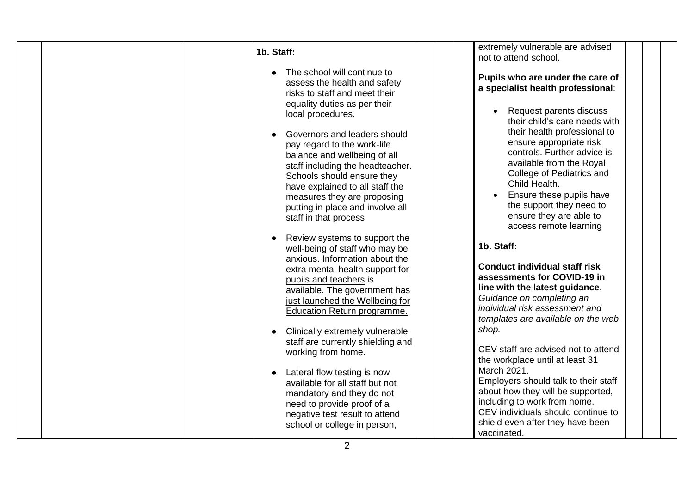| 1b. Staff:                                                                                                                                                                                                                                                                                           | extremely vulnerable are advised<br>not to attend school.                                                                                                                                                                                                                                   |
|------------------------------------------------------------------------------------------------------------------------------------------------------------------------------------------------------------------------------------------------------------------------------------------------------|---------------------------------------------------------------------------------------------------------------------------------------------------------------------------------------------------------------------------------------------------------------------------------------------|
| The school will continue to<br>assess the health and safety<br>risks to staff and meet their<br>equality duties as per their<br>local procedures.                                                                                                                                                    | Pupils who are under the care of<br>a specialist health professional:<br>Request parents discuss<br>their child's care needs with                                                                                                                                                           |
| Governors and leaders should<br>pay regard to the work-life<br>balance and wellbeing of all<br>staff including the headteacher.<br>Schools should ensure they<br>have explained to all staff the<br>measures they are proposing<br>putting in place and involve all<br>staff in that process         | their health professional to<br>ensure appropriate risk<br>controls. Further advice is<br>available from the Royal<br>College of Pediatrics and<br>Child Health.<br>Ensure these pupils have<br>the support they need to<br>ensure they are able to<br>access remote learning               |
| Review systems to support the<br>well-being of staff who may be<br>anxious. Information about the<br>extra mental health support for<br>pupils and teachers is<br>available. The government has<br>just launched the Wellbeing for<br>Education Return programme.<br>Clinically extremely vulnerable | 1b. Staff:<br><b>Conduct individual staff risk</b><br>assessments for COVID-19 in<br>line with the latest guidance.<br>Guidance on completing an<br>individual risk assessment and<br>templates are available on the web<br>shop.                                                           |
| staff are currently shielding and<br>working from home.<br>Lateral flow testing is now<br>available for all staff but not<br>mandatory and they do not<br>need to provide proof of a<br>negative test result to attend<br>school or college in person,                                               | CEV staff are advised not to attend<br>the workplace until at least 31<br>March 2021.<br>Employers should talk to their staff<br>about how they will be supported,<br>including to work from home.<br>CEV individuals should continue to<br>shield even after they have been<br>vaccinated. |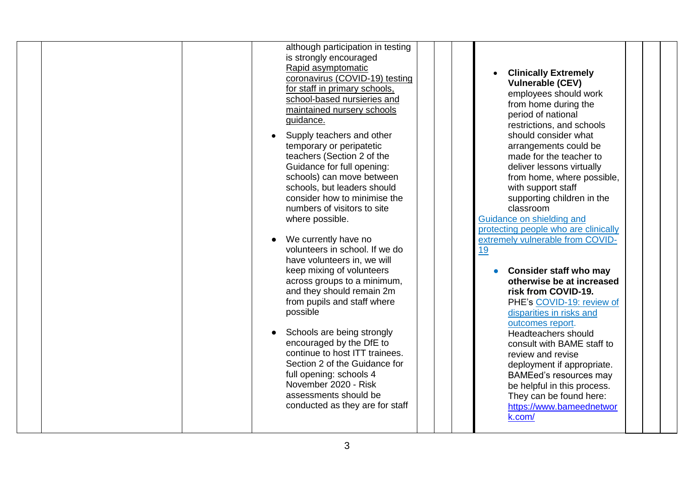|  | although participation in testing<br>is strongly encouraged<br>Rapid asymptomatic<br>coronavirus (COVID-19) testing<br>for staff in primary schools,<br>school-based nursieries and<br>maintained nursery schools<br>guidance.<br>Supply teachers and other<br>temporary or peripatetic<br>teachers (Section 2 of the<br>Guidance for full opening:<br>schools) can move between<br>schools, but leaders should<br>consider how to minimise the<br>numbers of visitors to site<br>where possible.<br>We currently have no<br>volunteers in school. If we do<br>have volunteers in, we will<br>keep mixing of volunteers<br>across groups to a minimum,<br>and they should remain 2m<br>from pupils and staff where<br>possible<br>Schools are being strongly<br>encouraged by the DfE to<br>continue to host ITT trainees.<br>Section 2 of the Guidance for<br>full opening: schools 4<br>November 2020 - Risk<br>assessments should be<br>conducted as they are for staff |  | <b>Clinically Extremely</b><br><b>Vulnerable (CEV)</b><br>employees should work<br>from home during the<br>period of national<br>restrictions, and schools<br>should consider what<br>arrangements could be<br>made for the teacher to<br>deliver lessons virtually<br>from home, where possible,<br>with support staff<br>supporting children in the<br>classroom<br>Guidance on shielding and<br>protecting people who are clinically<br>extremely vulnerable from COVID-<br><u>19</u><br><b>Consider staff who may</b><br>otherwise be at increased<br>risk from COVID-19.<br>PHE's COVID-19: review of<br>disparities in risks and<br>outcomes report.<br>Headteachers should<br>consult with BAME staff to<br>review and revise<br>deployment if appropriate.<br><b>BAMEed's resources may</b><br>be helpful in this process.<br>They can be found here:<br>https://www.bameednetwor<br>k.com/ |  |
|--|----------------------------------------------------------------------------------------------------------------------------------------------------------------------------------------------------------------------------------------------------------------------------------------------------------------------------------------------------------------------------------------------------------------------------------------------------------------------------------------------------------------------------------------------------------------------------------------------------------------------------------------------------------------------------------------------------------------------------------------------------------------------------------------------------------------------------------------------------------------------------------------------------------------------------------------------------------------------------|--|-----------------------------------------------------------------------------------------------------------------------------------------------------------------------------------------------------------------------------------------------------------------------------------------------------------------------------------------------------------------------------------------------------------------------------------------------------------------------------------------------------------------------------------------------------------------------------------------------------------------------------------------------------------------------------------------------------------------------------------------------------------------------------------------------------------------------------------------------------------------------------------------------------|--|
|--|----------------------------------------------------------------------------------------------------------------------------------------------------------------------------------------------------------------------------------------------------------------------------------------------------------------------------------------------------------------------------------------------------------------------------------------------------------------------------------------------------------------------------------------------------------------------------------------------------------------------------------------------------------------------------------------------------------------------------------------------------------------------------------------------------------------------------------------------------------------------------------------------------------------------------------------------------------------------------|--|-----------------------------------------------------------------------------------------------------------------------------------------------------------------------------------------------------------------------------------------------------------------------------------------------------------------------------------------------------------------------------------------------------------------------------------------------------------------------------------------------------------------------------------------------------------------------------------------------------------------------------------------------------------------------------------------------------------------------------------------------------------------------------------------------------------------------------------------------------------------------------------------------------|--|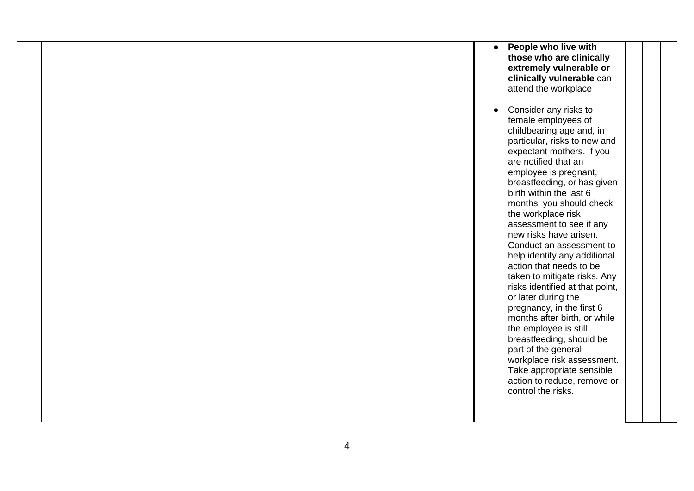|  |  |  | People who live with<br>$\bullet$<br>those who are clinically<br>extremely vulnerable or<br>clinically vulnerable can<br>attend the workplace<br>Consider any risks to<br>$\bullet$<br>female employees of                                                                                    |  |
|--|--|--|-----------------------------------------------------------------------------------------------------------------------------------------------------------------------------------------------------------------------------------------------------------------------------------------------|--|
|  |  |  | childbearing age and, in<br>particular, risks to new and<br>expectant mothers. If you<br>are notified that an<br>employee is pregnant,<br>breastfeeding, or has given<br>birth within the last 6<br>months, you should check<br>the workplace risk<br>assessment to see if any                |  |
|  |  |  | new risks have arisen.<br>Conduct an assessment to<br>help identify any additional<br>action that needs to be<br>taken to mitigate risks. Any<br>risks identified at that point,<br>or later during the<br>pregnancy, in the first 6<br>months after birth, or while<br>the employee is still |  |
|  |  |  | breastfeeding, should be<br>part of the general<br>workplace risk assessment.<br>Take appropriate sensible<br>action to reduce, remove or<br>control the risks.                                                                                                                               |  |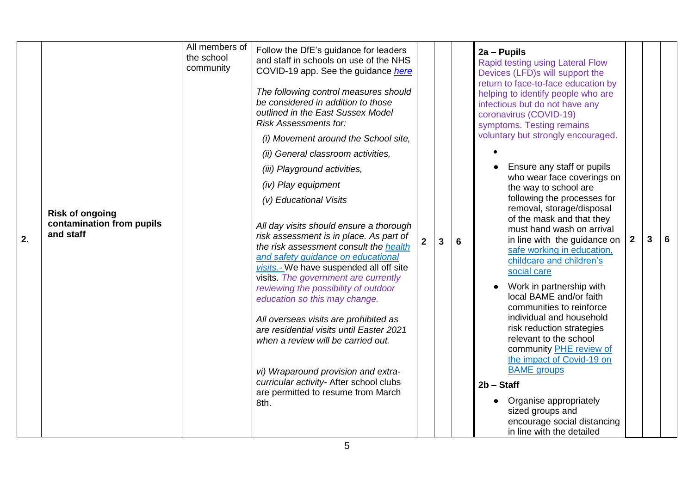| 2. | <b>Risk of ongoing</b><br>contamination from pupils<br>and staff | All members of<br>the school<br>community | Follow the DfE's guidance for leaders<br>and staff in schools on use of the NHS<br>COVID-19 app. See the guidance here<br>The following control measures should<br>be considered in addition to those<br>outlined in the East Sussex Model<br><b>Risk Assessments for:</b><br>(i) Movement around the School site,<br>(ii) General classroom activities,<br>(iii) Playground activities,<br>(iv) Play equipment<br>(v) Educational Visits<br>All day visits should ensure a thorough<br>risk assessment is in place. As part of<br>the risk assessment consult the health<br>and safety guidance on educational<br>visits.- We have suspended all off site<br>visits. The government are currently<br>reviewing the possibility of outdoor<br>education so this may change.<br>All overseas visits are prohibited as<br>are residential visits until Easter 2021<br>when a review will be carried out.<br>vi) Wraparound provision and extra-<br>curricular activity- After school clubs<br>are permitted to resume from March<br>8th. | $\overline{2}$ | 3 | 6 | 2a - Pupils<br>Rapid testing using Lateral Flow<br>Devices (LFD)s will support the<br>return to face-to-face education by<br>helping to identify people who are<br>infectious but do not have any<br>coronavirus (COVID-19)<br>symptoms. Testing remains<br>voluntary but strongly encouraged.<br>Ensure any staff or pupils<br>who wear face coverings on<br>the way to school are<br>following the processes for<br>removal, storage/disposal<br>of the mask and that they<br>must hand wash on arrival<br>in line with the guidance on<br>safe working in education,<br>childcare and children's<br>social care<br>Work in partnership with<br>local BAME and/or faith<br>communities to reinforce<br>individual and household<br>risk reduction strategies<br>relevant to the school<br>community PHE review of<br>the impact of Covid-19 on<br><b>BAME</b> groups<br>$2b - Staff$<br>Organise appropriately<br>sized groups and<br>encourage social distancing<br>in line with the detailed | $2^{\circ}$ | 3 | 6 |  |
|----|------------------------------------------------------------------|-------------------------------------------|----------------------------------------------------------------------------------------------------------------------------------------------------------------------------------------------------------------------------------------------------------------------------------------------------------------------------------------------------------------------------------------------------------------------------------------------------------------------------------------------------------------------------------------------------------------------------------------------------------------------------------------------------------------------------------------------------------------------------------------------------------------------------------------------------------------------------------------------------------------------------------------------------------------------------------------------------------------------------------------------------------------------------------------|----------------|---|---|--------------------------------------------------------------------------------------------------------------------------------------------------------------------------------------------------------------------------------------------------------------------------------------------------------------------------------------------------------------------------------------------------------------------------------------------------------------------------------------------------------------------------------------------------------------------------------------------------------------------------------------------------------------------------------------------------------------------------------------------------------------------------------------------------------------------------------------------------------------------------------------------------------------------------------------------------------------------------------------------------|-------------|---|---|--|
|----|------------------------------------------------------------------|-------------------------------------------|----------------------------------------------------------------------------------------------------------------------------------------------------------------------------------------------------------------------------------------------------------------------------------------------------------------------------------------------------------------------------------------------------------------------------------------------------------------------------------------------------------------------------------------------------------------------------------------------------------------------------------------------------------------------------------------------------------------------------------------------------------------------------------------------------------------------------------------------------------------------------------------------------------------------------------------------------------------------------------------------------------------------------------------|----------------|---|---|--------------------------------------------------------------------------------------------------------------------------------------------------------------------------------------------------------------------------------------------------------------------------------------------------------------------------------------------------------------------------------------------------------------------------------------------------------------------------------------------------------------------------------------------------------------------------------------------------------------------------------------------------------------------------------------------------------------------------------------------------------------------------------------------------------------------------------------------------------------------------------------------------------------------------------------------------------------------------------------------------|-------------|---|---|--|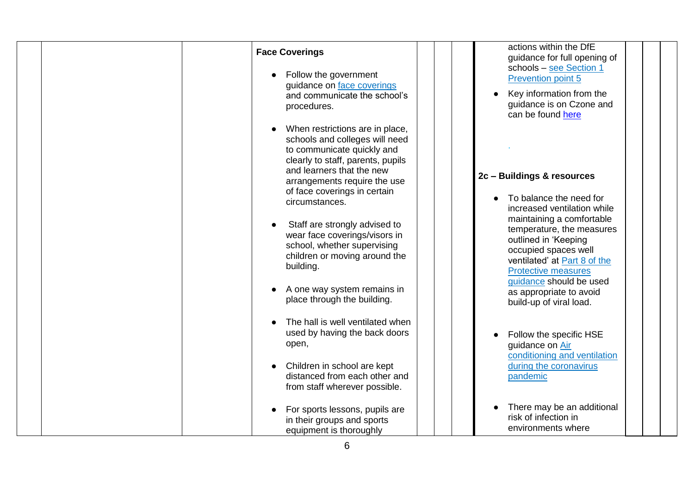| <b>Face Coverings</b><br>Follow the government<br>guidance on face coverings<br>and communicate the school's<br>procedures.                                                                                                                         | actions within the DfE<br>guidance for full opening of<br>schools - see Section 1<br><b>Prevention point 5</b><br>Key information from the<br>guidance is on Czone and<br>can be found here                                |
|-----------------------------------------------------------------------------------------------------------------------------------------------------------------------------------------------------------------------------------------------------|----------------------------------------------------------------------------------------------------------------------------------------------------------------------------------------------------------------------------|
| When restrictions are in place,<br>schools and colleges will need<br>to communicate quickly and<br>clearly to staff, parents, pupils<br>and learners that the new<br>arrangements require the use<br>of face coverings in certain<br>circumstances. | 2c - Buildings & resources<br>To balance the need for<br>increased ventilation while                                                                                                                                       |
| Staff are strongly advised to<br>wear face coverings/visors in<br>school, whether supervising<br>children or moving around the<br>building.<br>A one way system remains in                                                                          | maintaining a comfortable<br>temperature, the measures<br>outlined in 'Keeping<br>occupied spaces well<br>ventilated' at Part 8 of the<br><b>Protective measures</b><br>guidance should be used<br>as appropriate to avoid |
| place through the building.<br>The hall is well ventilated when<br>used by having the back doors<br>open,<br>Children in school are kept<br>distanced from each other and<br>from staff wherever possible.                                          | build-up of viral load.<br>Follow the specific HSE<br>guidance on Air<br>conditioning and ventilation<br>during the coronavirus<br>pandemic                                                                                |
| For sports lessons, pupils are<br>in their groups and sports<br>equipment is thoroughly                                                                                                                                                             | There may be an additional<br>risk of infection in<br>environments where                                                                                                                                                   |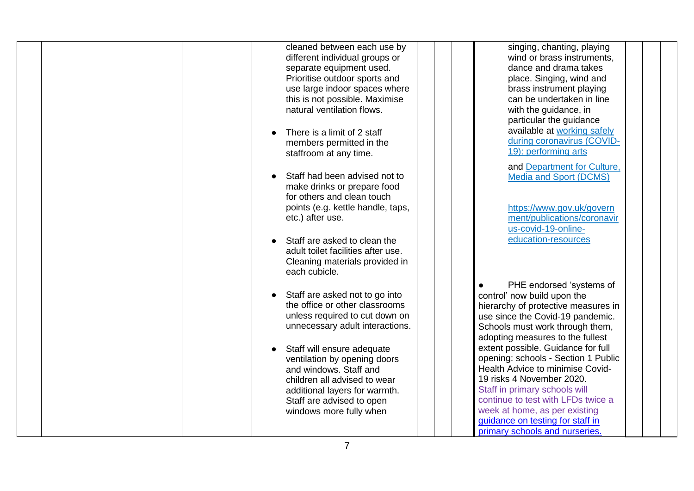|  | cleaned between each use by        | singing, chanting, playing            |
|--|------------------------------------|---------------------------------------|
|  | different individual groups or     | wind or brass instruments,            |
|  | separate equipment used.           | dance and drama takes                 |
|  | Prioritise outdoor sports and      | place. Singing, wind and              |
|  | use large indoor spaces where      | brass instrument playing              |
|  | this is not possible. Maximise     | can be undertaken in line             |
|  | natural ventilation flows.         | with the guidance, in                 |
|  |                                    | particular the guidance               |
|  | There is a limit of 2 staff        | available at working safely           |
|  | members permitted in the           | during coronavirus (COVID-            |
|  | staffroom at any time.             | 19): performing arts                  |
|  |                                    | and Department for Culture,           |
|  | Staff had been advised not to      | Media and Sport (DCMS)                |
|  | make drinks or prepare food        |                                       |
|  | for others and clean touch         |                                       |
|  | points (e.g. kettle handle, taps,  | https://www.gov.uk/govern             |
|  | etc.) after use.                   | ment/publications/coronavir           |
|  |                                    | us-covid-19-online-                   |
|  | Staff are asked to clean the       | education-resources                   |
|  | adult toilet facilities after use. |                                       |
|  | Cleaning materials provided in     |                                       |
|  | each cubicle.                      |                                       |
|  |                                    | PHE endorsed 'systems of<br>$\bullet$ |
|  | Staff are asked not to go into     | control' now build upon the           |
|  | the office or other classrooms     | hierarchy of protective measures in   |
|  | unless required to cut down on     | use since the Covid-19 pandemic.      |
|  | unnecessary adult interactions.    | Schools must work through them,       |
|  |                                    | adopting measures to the fullest      |
|  | Staff will ensure adequate         | extent possible. Guidance for full    |
|  | ventilation by opening doors       | opening: schools - Section 1 Public   |
|  | and windows. Staff and             | Health Advice to minimise Covid-      |
|  | children all advised to wear       | 19 risks 4 November 2020.             |
|  | additional layers for warmth.      | Staff in primary schools will         |
|  | Staff are advised to open          | continue to test with LFDs twice a    |
|  | windows more fully when            | week at home, as per existing         |
|  |                                    | guidance on testing for staff in      |
|  |                                    | primary schools and nurseries.        |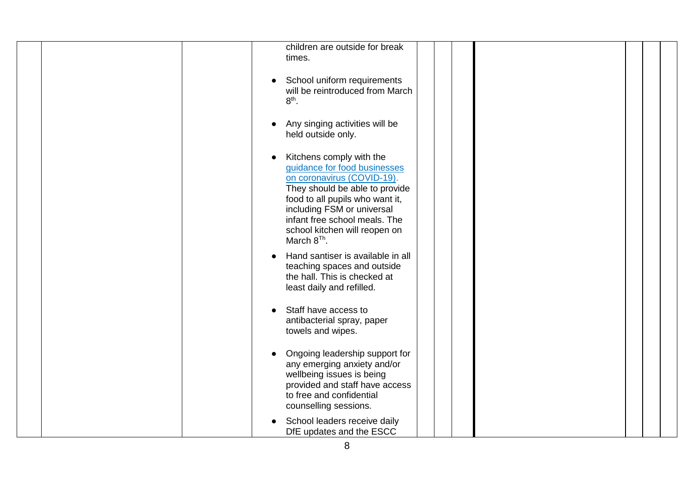| children are outside for break<br>times.                                                                                                                                                                                                                                               |
|----------------------------------------------------------------------------------------------------------------------------------------------------------------------------------------------------------------------------------------------------------------------------------------|
| School uniform requirements<br>will be reintroduced from March<br>$8th$ .                                                                                                                                                                                                              |
| Any singing activities will be<br>held outside only.                                                                                                                                                                                                                                   |
| Kitchens comply with the<br>guidance for food businesses<br>on coronavirus (COVID-19).<br>They should be able to provide<br>food to all pupils who want it,<br>including FSM or universal<br>infant free school meals. The<br>school kitchen will reopen on<br>March 8 <sup>Th</sup> . |
| Hand santiser is available in all<br>$\bullet$<br>teaching spaces and outside<br>the hall. This is checked at<br>least daily and refilled.                                                                                                                                             |
| Staff have access to<br>$\bullet$<br>antibacterial spray, paper<br>towels and wipes.                                                                                                                                                                                                   |
| Ongoing leadership support for<br>any emerging anxiety and/or<br>wellbeing issues is being<br>provided and staff have access<br>to free and confidential<br>counselling sessions.                                                                                                      |
| School leaders receive daily<br>DfE updates and the ESCC                                                                                                                                                                                                                               |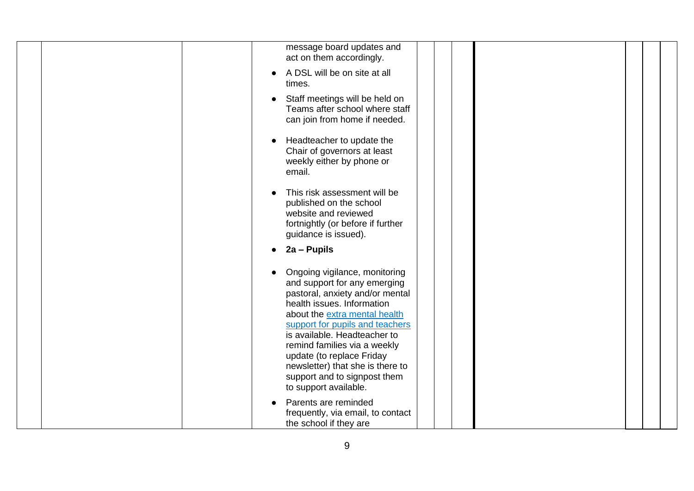| message board updates and<br>act on them accordingly.                                                                                                                                                                                                                                                                                                                                        |
|----------------------------------------------------------------------------------------------------------------------------------------------------------------------------------------------------------------------------------------------------------------------------------------------------------------------------------------------------------------------------------------------|
| A DSL will be on site at all<br>times.                                                                                                                                                                                                                                                                                                                                                       |
| Staff meetings will be held on<br>Teams after school where staff<br>can join from home if needed.                                                                                                                                                                                                                                                                                            |
| Headteacher to update the<br>Chair of governors at least<br>weekly either by phone or<br>email.                                                                                                                                                                                                                                                                                              |
| This risk assessment will be<br>published on the school<br>website and reviewed<br>fortnightly (or before if further<br>guidance is issued).                                                                                                                                                                                                                                                 |
| 2a - Pupils                                                                                                                                                                                                                                                                                                                                                                                  |
| Ongoing vigilance, monitoring<br>and support for any emerging<br>pastoral, anxiety and/or mental<br>health issues. Information<br>about the extra mental health<br>support for pupils and teachers<br>is available. Headteacher to<br>remind families via a weekly<br>update (to replace Friday<br>newsletter) that she is there to<br>support and to signpost them<br>to support available. |
| Parents are reminded<br>frequently, via email, to contact<br>the school if they are                                                                                                                                                                                                                                                                                                          |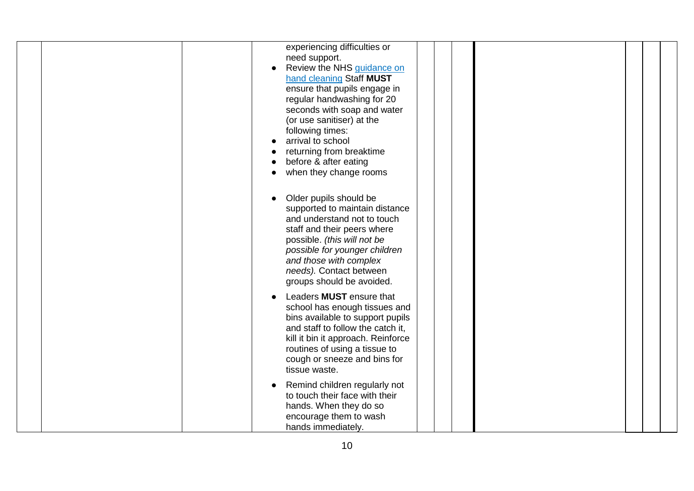| experiencing difficulties or<br>need support.<br>Review the NHS guidance on<br>hand cleaning Staff MUST<br>ensure that pupils engage in<br>regular handwashing for 20<br>seconds with soap and water<br>(or use sanitiser) at the<br>following times:<br>arrival to school<br>returning from breaktime<br>before & after eating<br>when they change rooms<br>Older pupils should be<br>supported to maintain distance<br>and understand not to touch<br>staff and their peers where |  |
|-------------------------------------------------------------------------------------------------------------------------------------------------------------------------------------------------------------------------------------------------------------------------------------------------------------------------------------------------------------------------------------------------------------------------------------------------------------------------------------|--|
| possible. (this will not be<br>possible for younger children<br>and those with complex<br>needs). Contact between<br>groups should be avoided.<br>Leaders MUST ensure that                                                                                                                                                                                                                                                                                                          |  |
| school has enough tissues and<br>bins available to support pupils<br>and staff to follow the catch it,<br>kill it bin it approach. Reinforce<br>routines of using a tissue to<br>cough or sneeze and bins for<br>tissue waste.                                                                                                                                                                                                                                                      |  |
| Remind children regularly not<br>to touch their face with their<br>hands. When they do so<br>encourage them to wash<br>hands immediately.                                                                                                                                                                                                                                                                                                                                           |  |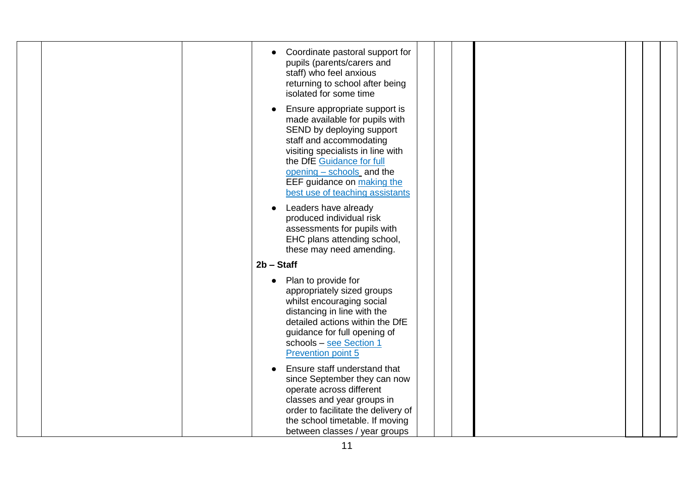| Coordinate pastoral support for<br>pupils (parents/carers and<br>staff) who feel anxious<br>returning to school after being<br>isolated for some time<br>Ensure appropriate support is<br>made available for pupils with<br>SEND by deploying support<br>staff and accommodating<br>visiting specialists in line with<br>the DfE Guidance for full<br>opening - schools and the<br>EEF guidance on making the<br>best use of teaching assistants<br>Leaders have already<br>produced individual risk<br>assessments for pupils with<br>EHC plans attending school,<br>these may need amending. |  |  |  |
|------------------------------------------------------------------------------------------------------------------------------------------------------------------------------------------------------------------------------------------------------------------------------------------------------------------------------------------------------------------------------------------------------------------------------------------------------------------------------------------------------------------------------------------------------------------------------------------------|--|--|--|
| $2b - Start$<br>Plan to provide for<br>appropriately sized groups<br>whilst encouraging social<br>distancing in line with the<br>detailed actions within the DfE<br>guidance for full opening of<br>schools - see Section 1<br><b>Prevention point 5</b><br>Ensure staff understand that<br>since September they can now<br>operate across different<br>classes and year groups in<br>order to facilitate the delivery of<br>the school timetable. If moving<br>between classes / year groups                                                                                                  |  |  |  |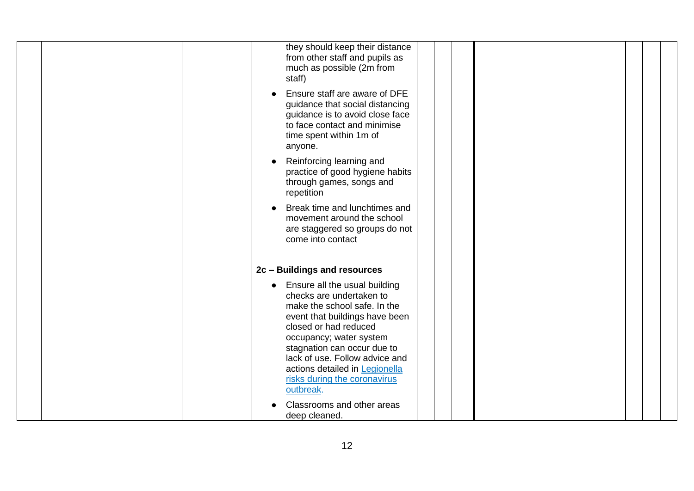|  | they should keep their distance<br>from other staff and pupils as<br>much as possible (2m from<br>staff)                                                                                                                                                                                                                        |
|--|---------------------------------------------------------------------------------------------------------------------------------------------------------------------------------------------------------------------------------------------------------------------------------------------------------------------------------|
|  | Ensure staff are aware of DFE<br>guidance that social distancing<br>guidance is to avoid close face<br>to face contact and minimise<br>time spent within 1m of<br>anyone.                                                                                                                                                       |
|  | Reinforcing learning and<br>practice of good hygiene habits<br>through games, songs and<br>repetition                                                                                                                                                                                                                           |
|  | Break time and lunchtimes and<br>movement around the school<br>are staggered so groups do not<br>come into contact                                                                                                                                                                                                              |
|  | 2c - Buildings and resources                                                                                                                                                                                                                                                                                                    |
|  | Ensure all the usual building<br>checks are undertaken to<br>make the school safe. In the<br>event that buildings have been<br>closed or had reduced<br>occupancy; water system<br>stagnation can occur due to<br>lack of use. Follow advice and<br>actions detailed in Legionella<br>risks during the coronavirus<br>outbreak. |
|  | Classrooms and other areas<br>deep cleaned.                                                                                                                                                                                                                                                                                     |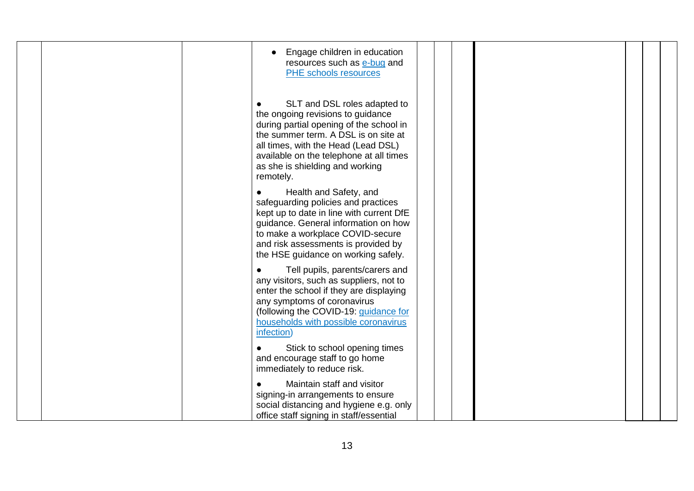| Engage children in education<br>resources such as e-bug and<br>PHE schools resources                                                                                                                                                                                                                |  |
|-----------------------------------------------------------------------------------------------------------------------------------------------------------------------------------------------------------------------------------------------------------------------------------------------------|--|
| SLT and DSL roles adapted to<br>$\bullet$<br>the ongoing revisions to guidance<br>during partial opening of the school in<br>the summer term. A DSL is on site at<br>all times, with the Head (Lead DSL)<br>available on the telephone at all times<br>as she is shielding and working<br>remotely. |  |
| Health and Safety, and<br>safeguarding policies and practices<br>kept up to date in line with current DfE<br>guidance. General information on how<br>to make a workplace COVID-secure<br>and risk assessments is provided by<br>the HSE guidance on working safely.                                 |  |
| Tell pupils, parents/carers and<br>any visitors, such as suppliers, not to<br>enter the school if they are displaying<br>any symptoms of coronavirus<br>(following the COVID-19: guidance for<br>households with possible coronavirus<br>infection)                                                 |  |
| Stick to school opening times<br>and encourage staff to go home<br>immediately to reduce risk.                                                                                                                                                                                                      |  |
| Maintain staff and visitor<br>$\bullet$<br>signing-in arrangements to ensure<br>social distancing and hygiene e.g. only<br>office staff signing in staff/essential                                                                                                                                  |  |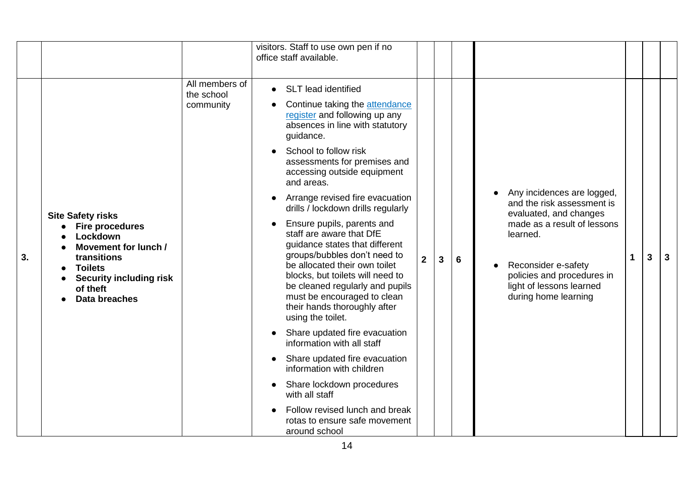|    |                                                                                                                                                                                        |                                           | visitors. Staff to use own pen if no<br>office staff available.                                                                                                                                                                                                                                                                                                                                                                                                                                                                                                                                                                                                                                                                                                                                                                                                                                                      |              |   |                |                                                                                                                                                                                                                                        |   |   |   |
|----|----------------------------------------------------------------------------------------------------------------------------------------------------------------------------------------|-------------------------------------------|----------------------------------------------------------------------------------------------------------------------------------------------------------------------------------------------------------------------------------------------------------------------------------------------------------------------------------------------------------------------------------------------------------------------------------------------------------------------------------------------------------------------------------------------------------------------------------------------------------------------------------------------------------------------------------------------------------------------------------------------------------------------------------------------------------------------------------------------------------------------------------------------------------------------|--------------|---|----------------|----------------------------------------------------------------------------------------------------------------------------------------------------------------------------------------------------------------------------------------|---|---|---|
| 3. | <b>Site Safety risks</b><br><b>Fire procedures</b><br>Lockdown<br>Movement for lunch /<br>transitions<br><b>Toilets</b><br><b>Security including risk</b><br>of theft<br>Data breaches | All members of<br>the school<br>community | <b>SLT</b> lead identified<br>Continue taking the attendance<br>register and following up any<br>absences in line with statutory<br>guidance.<br>School to follow risk<br>assessments for premises and<br>accessing outside equipment<br>and areas.<br>Arrange revised fire evacuation<br>drills / lockdown drills regularly<br>Ensure pupils, parents and<br>staff are aware that DfE<br>guidance states that different<br>groups/bubbles don't need to<br>be allocated their own toilet<br>blocks, but toilets will need to<br>be cleaned regularly and pupils<br>must be encouraged to clean<br>their hands thoroughly after<br>using the toilet.<br>Share updated fire evacuation<br>information with all staff<br>Share updated fire evacuation<br>information with children<br>Share lockdown procedures<br>with all staff<br>Follow revised lunch and break<br>rotas to ensure safe movement<br>around school | $\mathbf{2}$ | 3 | $6\phantom{1}$ | Any incidences are logged,<br>and the risk assessment is<br>evaluated, and changes<br>made as a result of lessons<br>learned.<br>Reconsider e-safety<br>policies and procedures in<br>light of lessons learned<br>during home learning | 1 | 3 | 3 |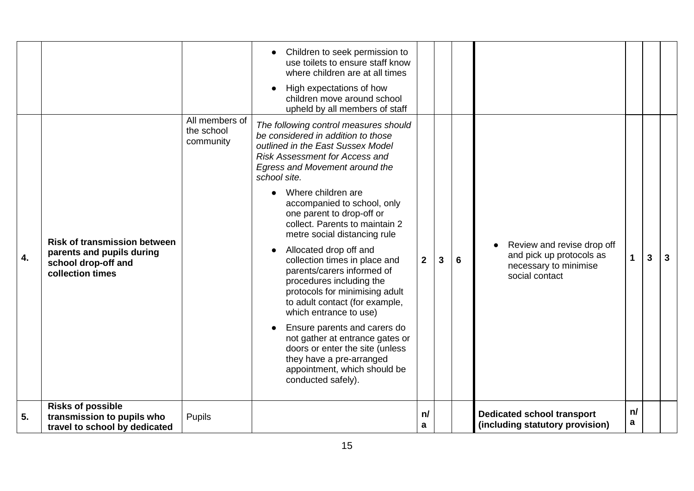| 5. | <b>Risks of possible</b><br>transmission to pupils who<br>travel to school by dedicated                     | Pupils                                    |                                                                                                                                                                                                                                                                                                                                                                                                                                                                                                                                                                                                                                                                                                                                                                                                                                                                                                                                                             | n/<br>a        |   |   | <b>Dedicated school transport</b><br>(including statutory provision)                              | n/<br>a |   |   |
|----|-------------------------------------------------------------------------------------------------------------|-------------------------------------------|-------------------------------------------------------------------------------------------------------------------------------------------------------------------------------------------------------------------------------------------------------------------------------------------------------------------------------------------------------------------------------------------------------------------------------------------------------------------------------------------------------------------------------------------------------------------------------------------------------------------------------------------------------------------------------------------------------------------------------------------------------------------------------------------------------------------------------------------------------------------------------------------------------------------------------------------------------------|----------------|---|---|---------------------------------------------------------------------------------------------------|---------|---|---|
| 4. | <b>Risk of transmission between</b><br>parents and pupils during<br>school drop-off and<br>collection times | All members of<br>the school<br>community | use toilets to ensure staff know<br>where children are at all times<br>High expectations of how<br>children move around school<br>upheld by all members of staff<br>The following control measures should<br>be considered in addition to those<br>outlined in the East Sussex Model<br><b>Risk Assessment for Access and</b><br>Egress and Movement around the<br>school site.<br>Where children are<br>$\bullet$<br>accompanied to school, only<br>one parent to drop-off or<br>collect. Parents to maintain 2<br>metre social distancing rule<br>Allocated drop off and<br>collection times in place and<br>parents/carers informed of<br>procedures including the<br>protocols for minimising adult<br>to adult contact (for example,<br>which entrance to use)<br>Ensure parents and carers do<br>not gather at entrance gates or<br>doors or enter the site (unless<br>they have a pre-arranged<br>appointment, which should be<br>conducted safely). | $\overline{2}$ | 3 | 6 | Review and revise drop off<br>and pick up protocols as<br>necessary to minimise<br>social contact |         | 3 | 3 |
|    |                                                                                                             |                                           | Children to seek permission to                                                                                                                                                                                                                                                                                                                                                                                                                                                                                                                                                                                                                                                                                                                                                                                                                                                                                                                              |                |   |   |                                                                                                   |         |   |   |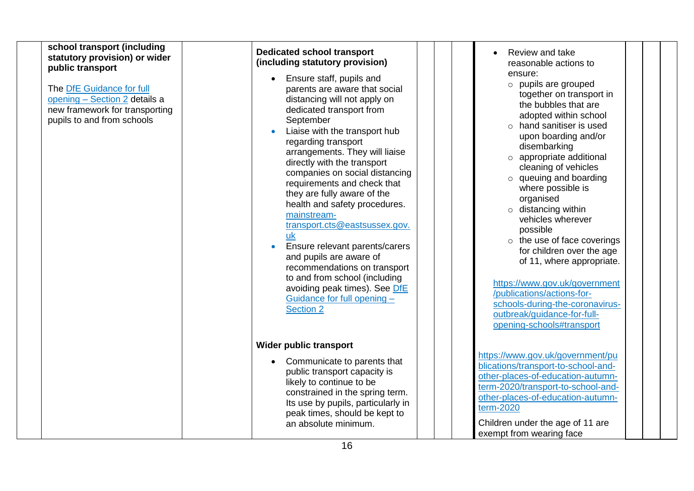| school transport (including<br>statutory provision) or wider<br>public transport<br>The DfE Guidance for full<br>opening - Section 2 details a<br>new framework for transporting<br>pupils to and from schools | <b>Dedicated school transport</b><br>(including statutory provision)<br>Ensure staff, pupils and<br>$\bullet$<br>parents are aware that social<br>distancing will not apply on<br>dedicated transport from<br>September<br>Liaise with the transport hub<br>regarding transport<br>arrangements. They will liaise<br>directly with the transport<br>companies on social distancing<br>requirements and check that<br>they are fully aware of the<br>health and safety procedures.<br>mainstream-<br>transport.cts@eastsussex.gov.<br>uk<br>Ensure relevant parents/carers<br>and pupils are aware of<br>recommendations on transport<br>to and from school (including<br>avoiding peak times). See DfE<br>Guidance for full opening -<br><b>Section 2</b> | Review and take<br>reasonable actions to<br>ensure:<br>$\circ$ pupils are grouped<br>together on transport in<br>the bubbles that are<br>adopted within school<br>$\circ$ hand sanitiser is used<br>upon boarding and/or<br>disembarking<br>o appropriate additional<br>cleaning of vehicles<br>$\circ$ queuing and boarding<br>where possible is<br>organised<br>$\circ$ distancing within<br>vehicles wherever<br>possible<br>$\circ$ the use of face coverings<br>for children over the age<br>of 11, where appropriate.<br>https://www.gov.uk/government<br>/publications/actions-for-<br>schools-during-the-coronavirus-<br>outbreak/guidance-for-full-<br>opening-schools#transport |
|----------------------------------------------------------------------------------------------------------------------------------------------------------------------------------------------------------------|-----------------------------------------------------------------------------------------------------------------------------------------------------------------------------------------------------------------------------------------------------------------------------------------------------------------------------------------------------------------------------------------------------------------------------------------------------------------------------------------------------------------------------------------------------------------------------------------------------------------------------------------------------------------------------------------------------------------------------------------------------------|-------------------------------------------------------------------------------------------------------------------------------------------------------------------------------------------------------------------------------------------------------------------------------------------------------------------------------------------------------------------------------------------------------------------------------------------------------------------------------------------------------------------------------------------------------------------------------------------------------------------------------------------------------------------------------------------|
|                                                                                                                                                                                                                | Wider public transport                                                                                                                                                                                                                                                                                                                                                                                                                                                                                                                                                                                                                                                                                                                                    |                                                                                                                                                                                                                                                                                                                                                                                                                                                                                                                                                                                                                                                                                           |
|                                                                                                                                                                                                                | Communicate to parents that<br>public transport capacity is<br>likely to continue to be<br>constrained in the spring term.<br>Its use by pupils, particularly in<br>peak times, should be kept to<br>an absolute minimum.                                                                                                                                                                                                                                                                                                                                                                                                                                                                                                                                 | https://www.gov.uk/government/pu<br>blications/transport-to-school-and-<br>other-places-of-education-autumn-<br>term-2020/transport-to-school-and-<br>other-places-of-education-autumn-<br>term-2020<br>Children under the age of 11 are<br>exempt from wearing face                                                                                                                                                                                                                                                                                                                                                                                                                      |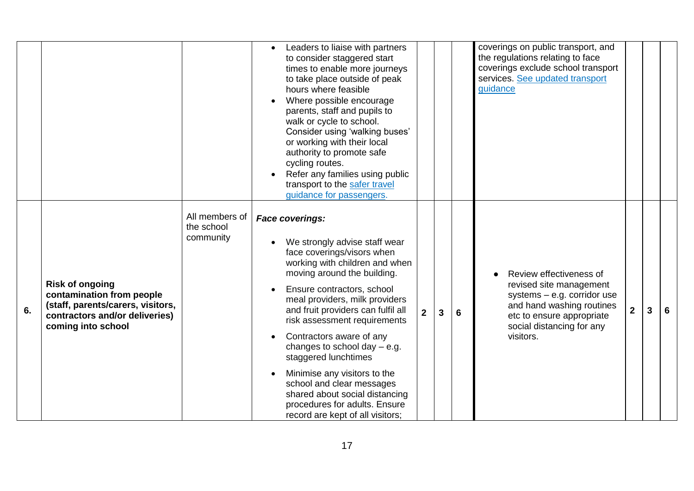|    |                                                                                                                                                  |                                           | Leaders to liaise with partners<br>to consider staggered start<br>times to enable more journeys<br>to take place outside of peak<br>hours where feasible<br>Where possible encourage<br>parents, staff and pupils to<br>walk or cycle to school.<br>Consider using 'walking buses'<br>or working with their local<br>authority to promote safe<br>cycling routes.<br>Refer any families using public<br>transport to the safer travel<br>guidance for passengers.                                                                                      |                |              |   | coverings on public transport, and<br>the regulations relating to face<br>coverings exclude school transport<br>services. See updated transport<br>quidance                             |                |   |   |
|----|--------------------------------------------------------------------------------------------------------------------------------------------------|-------------------------------------------|--------------------------------------------------------------------------------------------------------------------------------------------------------------------------------------------------------------------------------------------------------------------------------------------------------------------------------------------------------------------------------------------------------------------------------------------------------------------------------------------------------------------------------------------------------|----------------|--------------|---|-----------------------------------------------------------------------------------------------------------------------------------------------------------------------------------------|----------------|---|---|
| 6. | <b>Risk of ongoing</b><br>contamination from people<br>(staff, parents/carers, visitors,<br>contractors and/or deliveries)<br>coming into school | All members of<br>the school<br>community | <b>Face coverings:</b><br>We strongly advise staff wear<br>face coverings/visors when<br>working with children and when<br>moving around the building.<br>Ensure contractors, school<br>meal providers, milk providers<br>and fruit providers can fulfil all<br>risk assessment requirements<br>Contractors aware of any<br>changes to school day $-$ e.g.<br>staggered lunchtimes<br>Minimise any visitors to the<br>school and clear messages<br>shared about social distancing<br>procedures for adults. Ensure<br>record are kept of all visitors; | 2 <sup>1</sup> | $\mathbf{3}$ | 6 | Review effectiveness of<br>revised site management<br>systems $-$ e.g. corridor use<br>and hand washing routines<br>etc to ensure appropriate<br>social distancing for any<br>visitors. | $\overline{2}$ | 3 | 6 |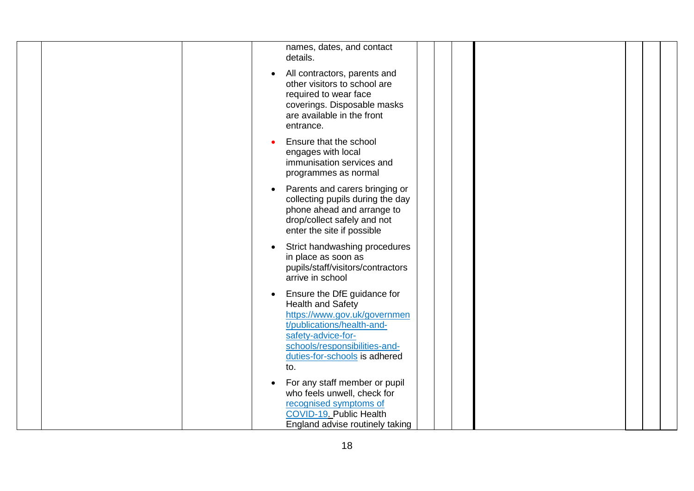| names, dates, and contact<br>details.                                                                                                                                                                         |
|---------------------------------------------------------------------------------------------------------------------------------------------------------------------------------------------------------------|
| All contractors, parents and<br>$\bullet$<br>other visitors to school are<br>required to wear face<br>coverings. Disposable masks<br>are available in the front<br>entrance.                                  |
| Ensure that the school<br>engages with local<br>immunisation services and<br>programmes as normal                                                                                                             |
| Parents and carers bringing or<br>collecting pupils during the day<br>phone ahead and arrange to<br>drop/collect safely and not<br>enter the site if possible                                                 |
| Strict handwashing procedures<br>in place as soon as<br>pupils/staff/visitors/contractors<br>arrive in school                                                                                                 |
| Ensure the DfE guidance for<br>Health and Safety<br>https://www.gov.uk/governmen<br>t/publications/health-and-<br>safety-advice-for-<br>schools/responsibilities-and-<br>duties-for-schools is adhered<br>to. |
| For any staff member or pupil<br>who feels unwell, check for<br>recognised symptoms of<br>COVID-19. Public Health<br>England advise routinely taking                                                          |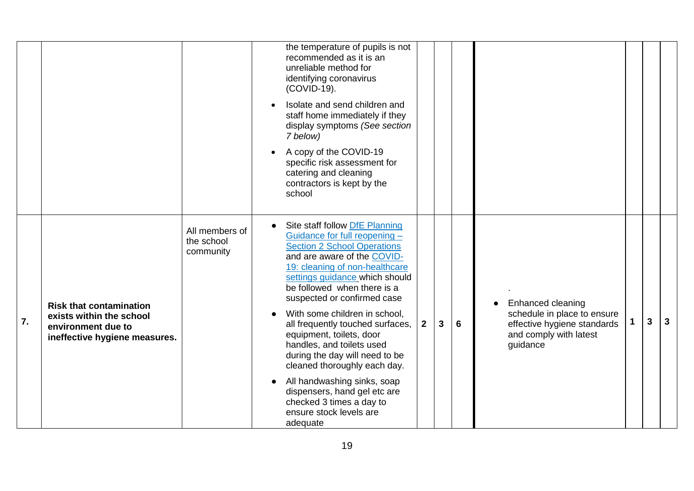|    |                                                                                                                   |                                           | the temperature of pupils is not<br>recommended as it is an<br>unreliable method for<br>identifying coronavirus<br>(COVID-19).<br>Isolate and send children and<br>staff home immediately if they<br>display symptoms (See section<br>7 below)<br>A copy of the COVID-19<br>specific risk assessment for<br>catering and cleaning<br>contractors is kept by the<br>school                                                                                                                                                                                                                                                                                                                                                                                     |                              |
|----|-------------------------------------------------------------------------------------------------------------------|-------------------------------------------|---------------------------------------------------------------------------------------------------------------------------------------------------------------------------------------------------------------------------------------------------------------------------------------------------------------------------------------------------------------------------------------------------------------------------------------------------------------------------------------------------------------------------------------------------------------------------------------------------------------------------------------------------------------------------------------------------------------------------------------------------------------|------------------------------|
| 7. | <b>Risk that contamination</b><br>exists within the school<br>environment due to<br>ineffective hygiene measures. | All members of<br>the school<br>community | Site staff follow DfE Planning<br>Guidance for full reopening -<br><b>Section 2 School Operations</b><br>and are aware of the COVID-<br>19: cleaning of non-healthcare<br>settings guidance which should<br>be followed when there is a<br>suspected or confirmed case<br>Enhanced cleaning<br>With some children in school,<br>schedule in place to ensure<br>$\overline{2}$<br>6<br>all frequently touched surfaces,<br>effective hygiene standards<br>3<br>equipment, toilets, door<br>and comply with latest<br>handles, and toilets used<br>guidance<br>during the day will need to be<br>cleaned thoroughly each day.<br>All handwashing sinks, soap<br>dispensers, hand gel etc are<br>checked 3 times a day to<br>ensure stock levels are<br>adequate | $\mathbf{3}$<br>$\mathbf{3}$ |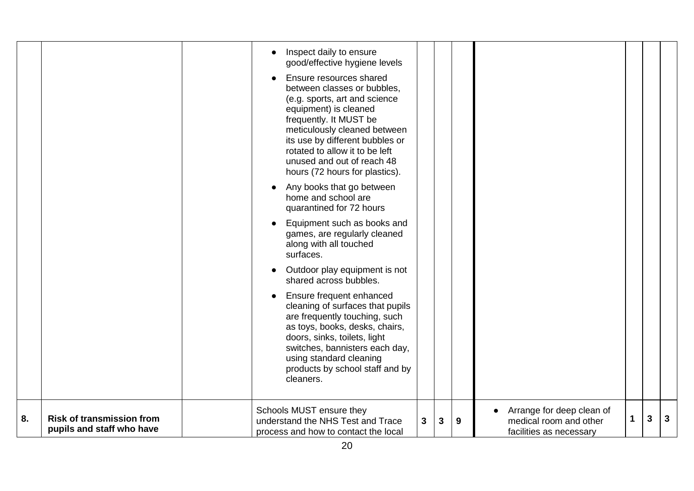|    |                                                               | good/effective hygiene levels<br>Ensure resources shared<br>between classes or bubbles,<br>(e.g. sports, art and science<br>equipment) is cleaned<br>frequently. It MUST be<br>meticulously cleaned between<br>its use by different bubbles or<br>rotated to allow it to be left<br>unused and out of reach 48<br>hours (72 hours for plastics).<br>Any books that go between<br>home and school are<br>quarantined for 72 hours<br>Equipment such as books and<br>games, are regularly cleaned<br>along with all touched<br>surfaces.<br>Outdoor play equipment is not<br>shared across bubbles.<br>Ensure frequent enhanced<br>cleaning of surfaces that pupils<br>are frequently touching, such<br>as toys, books, desks, chairs,<br>doors, sinks, toilets, light<br>switches, bannisters each day,<br>using standard cleaning<br>products by school staff and by<br>cleaners.<br>Schools MUST ensure they |   |   |   | Arrange for deep clean of                         |   |   |              |
|----|---------------------------------------------------------------|---------------------------------------------------------------------------------------------------------------------------------------------------------------------------------------------------------------------------------------------------------------------------------------------------------------------------------------------------------------------------------------------------------------------------------------------------------------------------------------------------------------------------------------------------------------------------------------------------------------------------------------------------------------------------------------------------------------------------------------------------------------------------------------------------------------------------------------------------------------------------------------------------------------|---|---|---|---------------------------------------------------|---|---|--------------|
| 8. | <b>Risk of transmission from</b><br>pupils and staff who have | understand the NHS Test and Trace<br>process and how to contact the local                                                                                                                                                                                                                                                                                                                                                                                                                                                                                                                                                                                                                                                                                                                                                                                                                                     | 3 | 3 | 9 | medical room and other<br>facilities as necessary | 1 | 3 | $\mathbf{3}$ |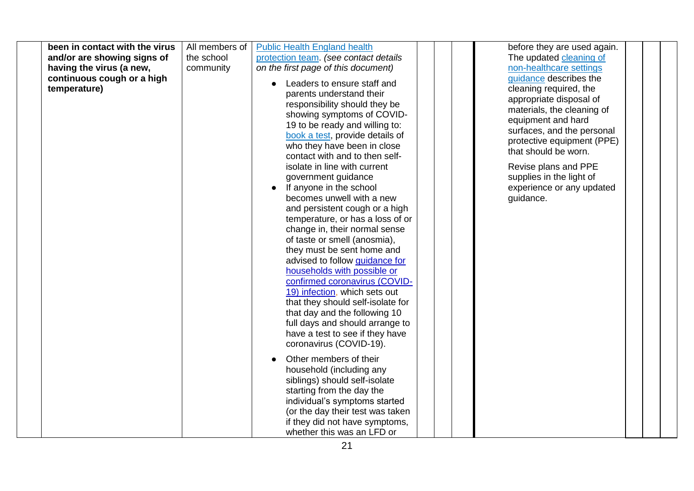| been in contact with the virus<br>and/or are showing signs of<br>having the virus (a new,<br>continuous cough or a high<br>temperature) | All members of<br>the school<br>community | <b>Public Health England health</b><br>protection team. (see contact details<br>on the first page of this document)<br>Leaders to ensure staff and<br>parents understand their<br>responsibility should they be<br>showing symptoms of COVID-<br>19 to be ready and willing to:<br>book a test, provide details of<br>who they have been in close<br>contact with and to then self-<br>isolate in line with current<br>government guidance<br>If anyone in the school<br>becomes unwell with a new<br>and persistent cough or a high<br>temperature, or has a loss of or<br>change in, their normal sense<br>of taste or smell (anosmia),<br>they must be sent home and<br>advised to follow guidance for<br>households with possible or<br>confirmed coronavirus (COVID-<br>19) infection, which sets out<br>that they should self-isolate for<br>that day and the following 10<br>full days and should arrange to<br>have a test to see if they have<br>coronavirus (COVID-19). | before they are used again.<br>The updated cleaning of<br>non-healthcare settings<br>guidance describes the<br>cleaning required, the<br>appropriate disposal of<br>materials, the cleaning of<br>equipment and hard<br>surfaces, and the personal<br>protective equipment (PPE)<br>that should be worn.<br>Revise plans and PPE<br>supplies in the light of<br>experience or any updated<br>guidance. |  |
|-----------------------------------------------------------------------------------------------------------------------------------------|-------------------------------------------|-----------------------------------------------------------------------------------------------------------------------------------------------------------------------------------------------------------------------------------------------------------------------------------------------------------------------------------------------------------------------------------------------------------------------------------------------------------------------------------------------------------------------------------------------------------------------------------------------------------------------------------------------------------------------------------------------------------------------------------------------------------------------------------------------------------------------------------------------------------------------------------------------------------------------------------------------------------------------------------|--------------------------------------------------------------------------------------------------------------------------------------------------------------------------------------------------------------------------------------------------------------------------------------------------------------------------------------------------------------------------------------------------------|--|
|                                                                                                                                         |                                           | Other members of their<br>household (including any<br>siblings) should self-isolate<br>starting from the day the<br>individual's symptoms started<br>(or the day their test was taken<br>if they did not have symptoms,<br>whether this was an LFD or                                                                                                                                                                                                                                                                                                                                                                                                                                                                                                                                                                                                                                                                                                                             |                                                                                                                                                                                                                                                                                                                                                                                                        |  |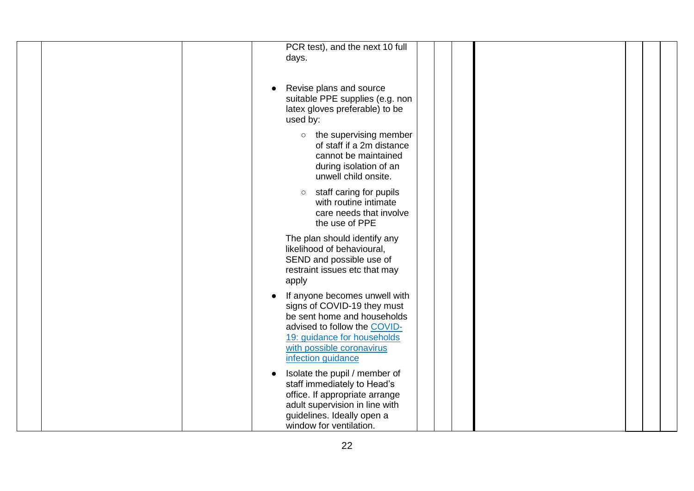| PCR test), and the next 10 full<br>days.                                                                                                                                                                                  |
|---------------------------------------------------------------------------------------------------------------------------------------------------------------------------------------------------------------------------|
| Revise plans and source<br>suitable PPE supplies (e.g. non<br>latex gloves preferable) to be<br>used by:<br>$\circ$ the supervising member<br>of staff if a 2m distance<br>cannot be maintained<br>during isolation of an |
| unwell child onsite.<br>staff caring for pupils<br>$\circ$<br>with routine intimate<br>care needs that involve<br>the use of PPE                                                                                          |
| The plan should identify any<br>likelihood of behavioural,<br>SEND and possible use of<br>restraint issues etc that may<br>apply                                                                                          |
| If anyone becomes unwell with<br>signs of COVID-19 they must<br>be sent home and households<br>advised to follow the COVID-<br>19: guidance for households<br>with possible coronavirus<br>infection guidance             |
| Isolate the pupil / member of<br>staff immediately to Head's<br>office. If appropriate arrange<br>adult supervision in line with<br>guidelines. Ideally open a<br>window for ventilation.                                 |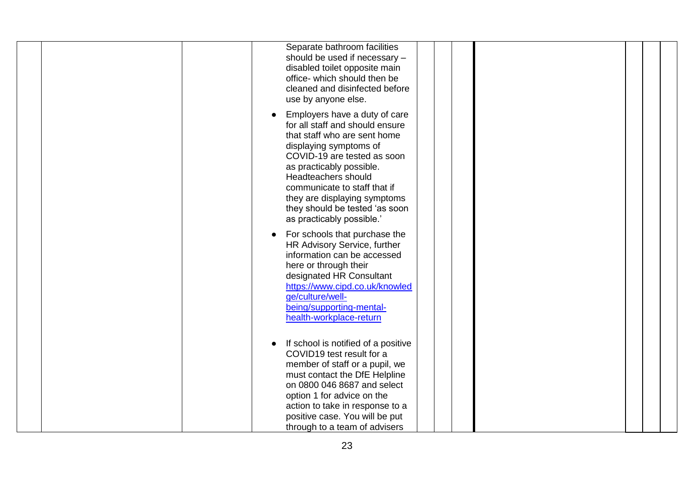| Separate bathroom facilities<br>should be used if necessary -<br>disabled toilet opposite main<br>office- which should then be<br>cleaned and disinfected before<br>use by anyone else.                                                                                                                                                     |
|---------------------------------------------------------------------------------------------------------------------------------------------------------------------------------------------------------------------------------------------------------------------------------------------------------------------------------------------|
| Employers have a duty of care<br>for all staff and should ensure<br>that staff who are sent home<br>displaying symptoms of<br>COVID-19 are tested as soon<br>as practicably possible.<br>Headteachers should<br>communicate to staff that if<br>they are displaying symptoms<br>they should be tested 'as soon<br>as practicably possible.' |
| For schools that purchase the<br>HR Advisory Service, further<br>information can be accessed<br>here or through their<br>designated HR Consultant<br>https://www.cipd.co.uk/knowled<br>qe/culture/well-<br>being/supporting-mental-<br>health-workplace-return                                                                              |
| If school is notified of a positive<br>$\bullet$<br>COVID19 test result for a<br>member of staff or a pupil, we<br>must contact the DfE Helpline<br>on 0800 046 8687 and select<br>option 1 for advice on the<br>action to take in response to a<br>positive case. You will be put<br>through to a team of advisers                         |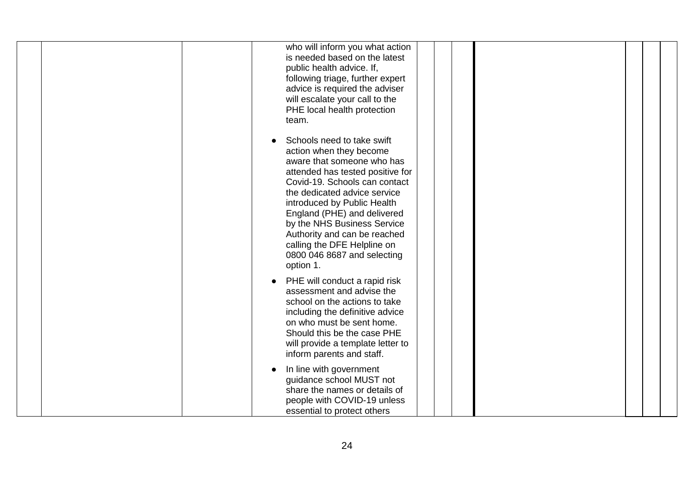| who will inform you what action<br>is needed based on the latest<br>public health advice. If,<br>following triage, further expert<br>advice is required the adviser<br>will escalate your call to the<br>PHE local health protection<br>team.                                                                                                                                                    |
|--------------------------------------------------------------------------------------------------------------------------------------------------------------------------------------------------------------------------------------------------------------------------------------------------------------------------------------------------------------------------------------------------|
| Schools need to take swift<br>action when they become<br>aware that someone who has<br>attended has tested positive for<br>Covid-19. Schools can contact<br>the dedicated advice service<br>introduced by Public Health<br>England (PHE) and delivered<br>by the NHS Business Service<br>Authority and can be reached<br>calling the DFE Helpline on<br>0800 046 8687 and selecting<br>option 1. |
| PHE will conduct a rapid risk<br>$\bullet$<br>assessment and advise the<br>school on the actions to take<br>including the definitive advice<br>on who must be sent home.<br>Should this be the case PHE<br>will provide a template letter to<br>inform parents and staff.                                                                                                                        |
| In line with government<br>guidance school MUST not<br>share the names or details of<br>people with COVID-19 unless<br>essential to protect others                                                                                                                                                                                                                                               |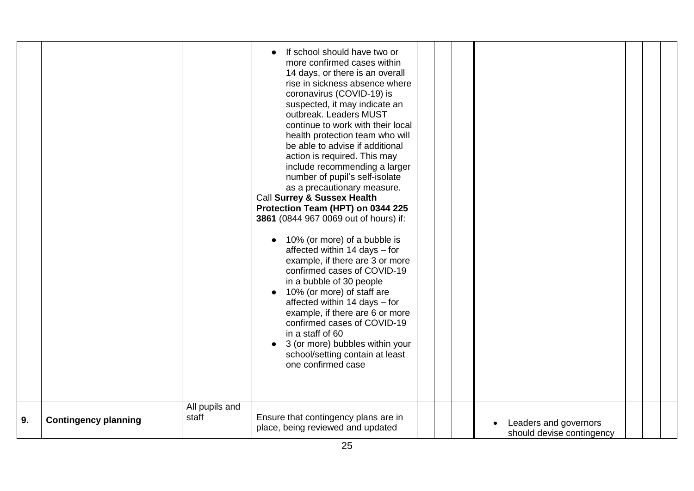|    |                             | All pupils and | If school should have two or<br>more confirmed cases within<br>14 days, or there is an overall<br>rise in sickness absence where<br>coronavirus (COVID-19) is<br>suspected, it may indicate an<br>outbreak. Leaders MUST<br>continue to work with their local<br>health protection team who will<br>be able to advise if additional<br>action is required. This may<br>include recommending a larger<br>number of pupil's self-isolate<br>as a precautionary measure.<br>Call Surrey & Sussex Health<br>Protection Team (HPT) on 0344 225<br>3861 (0844 967 0069 out of hours) if:<br>10% (or more) of a bubble is<br>affected within 14 days - for<br>example, if there are 3 or more<br>confirmed cases of COVID-19<br>in a bubble of 30 people<br>10% (or more) of staff are<br>$\bullet$<br>affected within 14 days - for<br>example, if there are 6 or more<br>confirmed cases of COVID-19<br>in a staff of 60<br>• 3 (or more) bubbles within your<br>school/setting contain at least<br>one confirmed case |  |                                                    |  |  |
|----|-----------------------------|----------------|-------------------------------------------------------------------------------------------------------------------------------------------------------------------------------------------------------------------------------------------------------------------------------------------------------------------------------------------------------------------------------------------------------------------------------------------------------------------------------------------------------------------------------------------------------------------------------------------------------------------------------------------------------------------------------------------------------------------------------------------------------------------------------------------------------------------------------------------------------------------------------------------------------------------------------------------------------------------------------------------------------------------|--|----------------------------------------------------|--|--|
| 9. | <b>Contingency planning</b> | staff          | Ensure that contingency plans are in<br>place, being reviewed and updated                                                                                                                                                                                                                                                                                                                                                                                                                                                                                                                                                                                                                                                                                                                                                                                                                                                                                                                                         |  | Leaders and governors<br>should devise contingency |  |  |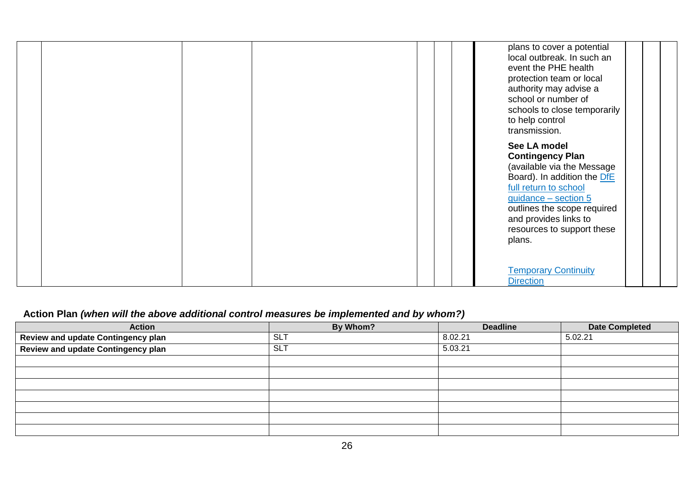|  |  | plans to cover a potential<br>local outbreak. In such an<br>event the PHE health<br>protection team or local<br>authority may advise a<br>school or number of<br>schools to close temporarily<br>to help control<br>transmission.                     |
|--|--|-------------------------------------------------------------------------------------------------------------------------------------------------------------------------------------------------------------------------------------------------------|
|  |  | See LA model<br><b>Contingency Plan</b><br>(available via the Message<br>Board). In addition the DfE<br>full return to school<br>guidance - section 5<br>outlines the scope required<br>and provides links to<br>resources to support these<br>plans. |
|  |  | <b>Temporary Continuity</b><br><b>Direction</b>                                                                                                                                                                                                       |

## **Action Plan** *(when will the above additional control measures be implemented and by whom?)*

| <b>Action</b>                             | By Whom?  | <b>Deadline</b> | <b>Date Completed</b> |
|-------------------------------------------|-----------|-----------------|-----------------------|
| <b>Review and update Contingency plan</b> | SL.       | 8.02.21         | 5.02.21               |
| Review and update Contingency plan        | <b>SL</b> | 5.03.21         |                       |
|                                           |           |                 |                       |
|                                           |           |                 |                       |
|                                           |           |                 |                       |
|                                           |           |                 |                       |
|                                           |           |                 |                       |
|                                           |           |                 |                       |
|                                           |           |                 |                       |